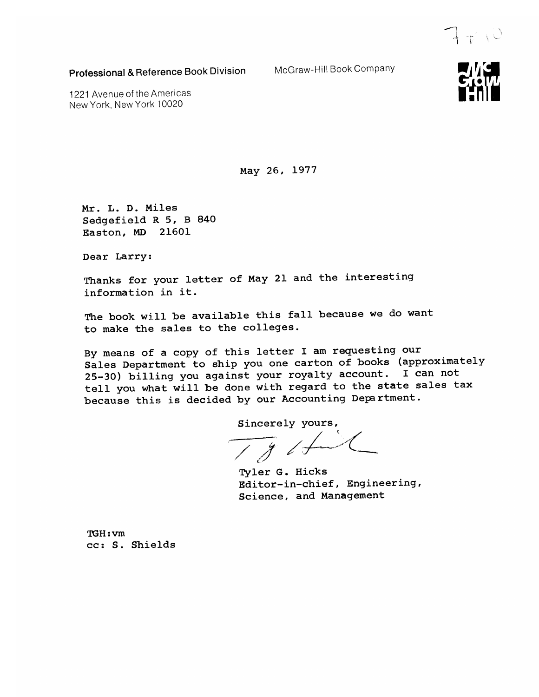Professional & Reference Book Division

McGraw-Hill Book Company

1221 Avenue of the Americas New York, New York 10020

May 26, 1977

Mr. L. D. Miles Sedgefield R 5, B 840 Easton, MD 21601

Dear Larry:

Thanks for your letter of May 21 and the interesting information in it.

The book will be available this fall because we do want to make the sales to the colleges.

By means of a copy of this letter I am requesting our Sales Department to ship you one carton of books (approximately 25-30) billing you against your royalty account. I can not tell you what will be done with regard to the state sales tax because this is decided by our Accounting Department.

Sincerely yours,

 $\overline{18}$ 

Tyler G. Hicks Editor-in-chief, Engineering, Science, and Management

TGH: vm cc: S. Shields



 $7+10$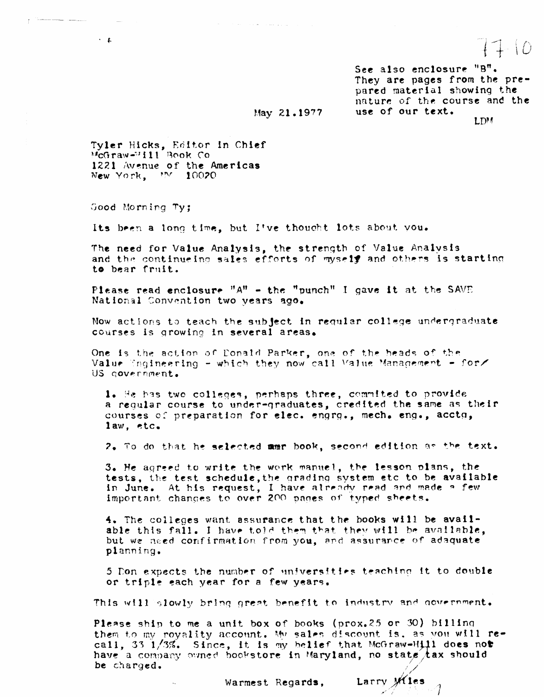See also enclosure "B". They are pages from the prepared material showing the nature of the course and the use of our text. LDM

### May 21.1977

Tyler Hicks, Editor in Chief<br>McGraw-Hill Book Co 1221 Avenue of the Americas New York, MV 10020

Good Morning Ty;

professional company

 $\sim$   $\,$   $\,$   $\,$ 

Its been a long time, but I've thought lots about you.

 $\mathcal{A}^{\mathcal{A}}$  , which is the contribution of the contribution of  $\mathcal{A}$ 

The need for Value Analysis, the strength of Value Analysis and the continueing sales efforts of mysely and others is starting to bear fruit.

Please read enclosure " $A$ " - the "punch" I gave it at the SAVE National Convention two years ago.

Now actions to teach the subject in requiar college undergraduate courses is growing in several areas.

One is the action of Donald Parker, one of the heads of the Value Engineering - which they now call Value Management - for/ US government.

1. He has two colleges, perhaps three, commited to provide a requiar course to under-graduates, credited the same as their courses of preparation for elec. engrg., mech. eng., acctg,  $1aw$ ,  $etc.$ 

2. To do that he selected mmr book, second edition as the text.

3. He agreed to write the work manuel, the lesson plans, the tests, the test schedule, the grading system etc to be available in June. At his request, I have already read and made a few important changes to over 200 pages of typed sheets.

4. The colleges want assurance that the books will be available this fall. I have told them that they will be available, but we need confirmation from you, and assurance of adaquate planning.

5 Don expects the number of universities teaching it to double or triple each year for a few years.

This will slowly bring great benefit to industry and government.

Please ship to me a unit box of books (prox.25 or 30) billing them to my royality account. My sales discount is, as you will recall, 33 1/3%. Since, it is my belief that McGraw-Hill does not have a company owned bookstore in Maryland, no state tax should be charged.

Larry Wies

Warmest Regards.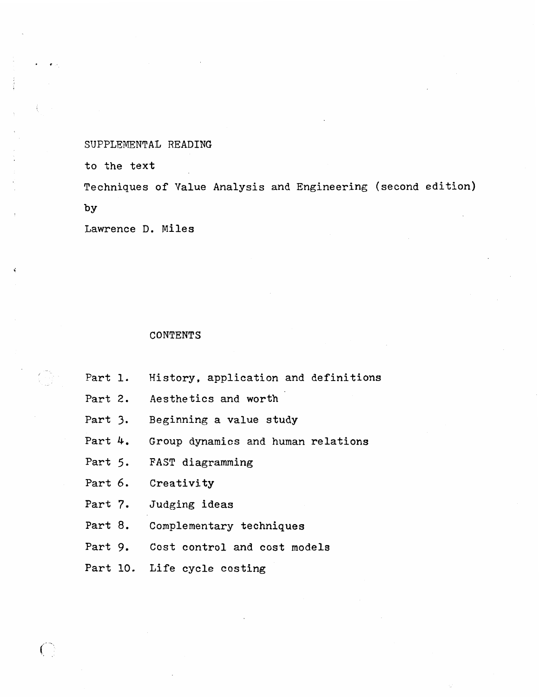SUPPLEMENTAL READING

to the text

Techniques of Value Analysis and Engineering (second edition) by

Lawrence **D,** Miles

### CONTENTS

Part **1,**  History. application and definitions

Part 2, Aesthetics and worth

Part **3.**  Beginning a value study

Part 4. Group dynamics and human relations

Part 5, FAST diagramming

Part 6. Creativity

 $\bigcap$ 

Part 7. Judging ideas

Part 8, Complementary techniques

Part 9. Cost control and cost models

Part 10. Life cycle costing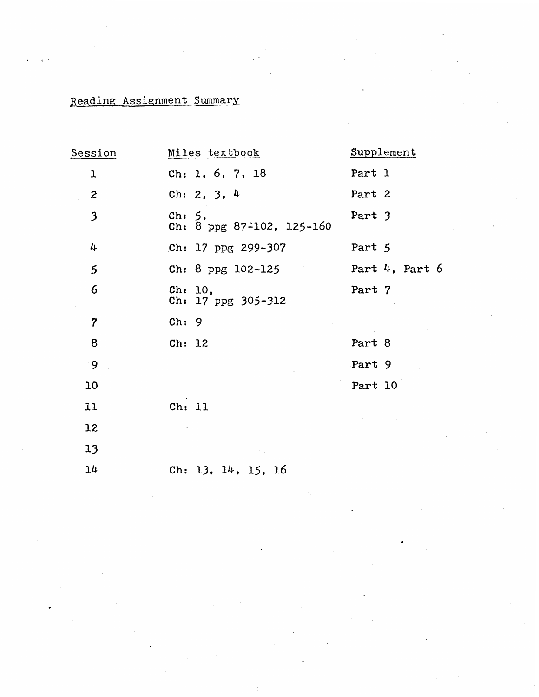# **Reading Assignment Summary**

| Session                 | Miles textbook                                    | Supplement          |
|-------------------------|---------------------------------------------------|---------------------|
| ı                       | Ch: 1, 6, 7, 18                                   | Part 1              |
| 2                       | Ch: 2, 3, $4$                                     | Part 2              |
| 3                       | $\text{ch}: 5$<br>Ch: 8 ppg 87-102, 125-160       | Part 3              |
| 4                       | Ch: 17 ppg 299-307                                | Part 5              |
| 5                       | Ch: 8 ppg 102-125                                 | Part $4$ , Part $6$ |
| 6                       | $\mathbf{ch}: \mathbf{10,}$<br>Ch: 17 ppg 305-312 | Part 7              |
| $\overline{\mathbf{z}}$ | Ch: 9                                             |                     |
| 8                       | Ch: 12                                            | Part 8              |
| 9                       |                                                   | Part 9              |
| 10                      |                                                   | Part 10             |
| 11                      | Ch: 11                                            |                     |
| 12                      |                                                   |                     |
| 13                      |                                                   |                     |
| 14                      | Ch: $13, 14, 15, 16$                              |                     |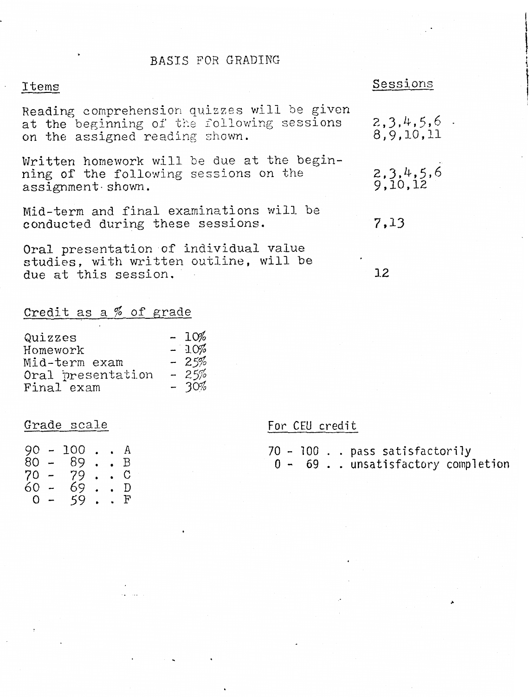### BASIS FOR GRADING

Reading comprehension quizzes will be given at the beginning of the following sessions on the assigned reading shown.

Written homework will be due at the beginning of the following sessions on the assignment. shown.

Mid-term and final examinations will be conducted during these sessions.

Oral presentation of individual value studies, with written outline, will be due at this session.

## Credit as a % of grade

| Quizzes           | $-10%$ |
|-------------------|--------|
| Homework          | $-10%$ |
| Mid-term exam     | $-25%$ |
| Oral presentation | $-25%$ |
| Final exam        | $-30%$ |

 $90 - 100$  . . A  $80 - 89$ . B  $70 79.$  $\mathcal{C}$  $60 - 69$ <br>0 - 59 :  $\mathbf D$  $F$ 

# **Items Sessions**

 $2, 3, 4, 5, 6$ . 8.9.10.11

 $2,3,4,5,6$ <br>9,10,12

7.13

 $12$ 

### Grade scale For CEU credit

|  |  | 70 - 100 pass satisfactorily         |  |
|--|--|--------------------------------------|--|
|  |  | $0 - 69$ . unsatisfactory completion |  |